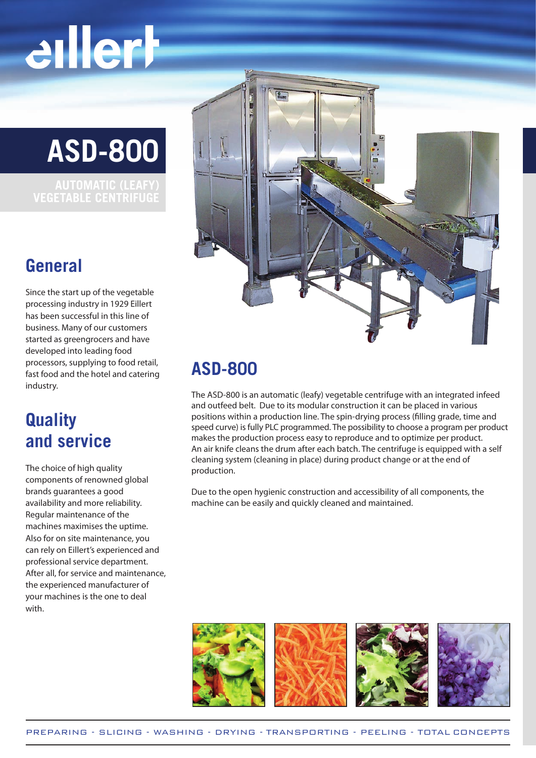# eillerh

**ASD-800**

### **General**

Since the start up of the vegetable processing industry in 1929 Eillert has been successful in this line of business. Many of our customers started as greengrocers and have developed into leading food processors, supplying to food retail, fast food and the hotel and catering industry.

### **Quality and service**

The choice of high quality components of renowned global brands guarantees a good availability and more reliability. Regular maintenance of the machines maximises the uptime. Also for on site maintenance, you can rely on Eillert's experienced and professional service department. After all, for service and maintenance, the experienced manufacturer of your machines is the one to deal with.



### **ASD-800**

The ASD-800 is an automatic (leafy) vegetable centrifuge with an integrated infeed and outfeed belt. Due to its modular construction it can be placed in various positions within a production line. The spin-drying process (filling grade, time and speed curve) is fully PLC programmed. The possibility to choose a program per product makes the production process easy to reproduce and to optimize per product. An air knife cleans the drum after each batch. The centrifuge is equipped with a self cleaning system (cleaning in place) during product change or at the end of production.

Due to the open hygienic construction and accessibility of all components, the machine can be easily and quickly cleaned and maintained.